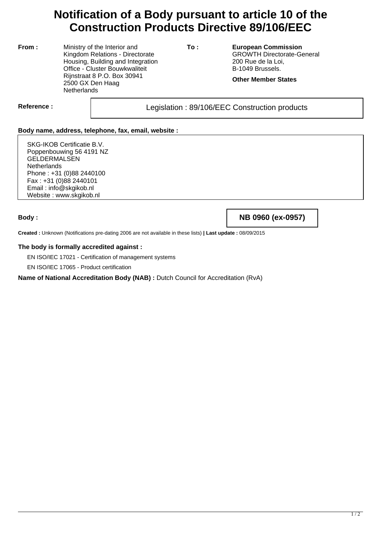# **Notification of a Body pursuant to article 10 of the Construction Products Directive 89/106/EEC**

**From :** Ministry of the Interior and Kingdom Relations - Directorate Housing, Building and Integration Office - Cluster Bouwkwaliteit Rijnstraat 8 P.O. Box 30941 2500 GX Den Haag **Netherlands** 

**To : European Commission** GROWTH Directorate-General 200 Rue de la Loi, B-1049 Brussels.

**Other Member States**

Reference : and all the sequence in the sequence of Legislation : 89/106/EEC Construction products

## **Body name, address, telephone, fax, email, website :**

SKG-IKOB Certificatie B.V. Poppenbouwing 56 4191 NZ **GELDERMALSEN Netherlands** Phone : +31 (0)88 2440100 Fax : +31 (0)88 2440101 Email : info@skgikob.nl Website : www.skgikob.nl

**Body : NB 0960 (ex-0957)**

**Created :** Unknown (Notifications pre-dating 2006 are not available in these lists) **| Last update :** 08/09/2015

#### **The body is formally accredited against :**

EN ISO/IEC 17021 - Certification of management systems

EN ISO/IEC 17065 - Product certification

## **Name of National Accreditation Body (NAB) :** Dutch Council for Accreditation (RvA)